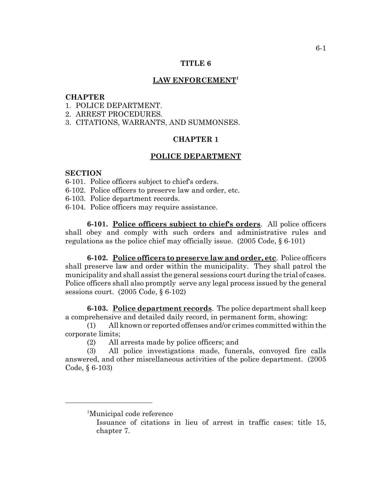### **TITLE 6**

## **LAW ENFORCEMENT1**

#### **CHAPTER**

- 1. POLICE DEPARTMENT.
- 2. ARREST PROCEDURES.
- 3. CITATIONS, WARRANTS, AND SUMMONSES.

# **CHAPTER 1**

#### **POLICE DEPARTMENT**

### **SECTION**

- 6-101. Police officers subject to chief's orders.
- 6-102. Police officers to preserve law and order, etc.
- 6-103. Police department records.
- 6-104. Police officers may require assistance.

**6-101. Police officers subject to chief's orders**. All police officers shall obey and comply with such orders and administrative rules and regulations as the police chief may officially issue. (2005 Code, § 6-101)

**6-102. Police officers to preserve law and order, etc**. Police officers shall preserve law and order within the municipality. They shall patrol the municipality and shall assist the general sessions court during the trial of cases. Police officers shall also promptly serve any legal process issued by the general sessions court. (2005 Code, § 6-102)

**6-103. Police department records**. The police department shall keep a comprehensive and detailed daily record, in permanent form, showing:

(1) All known or reported offenses and/or crimes committed within the corporate limits;

(2) All arrests made by police officers; and

(3) All police investigations made, funerals, convoyed fire calls answered, and other miscellaneous activities of the police department. (2005 Code, § 6-103)

<sup>&</sup>lt;sup>1</sup>Municipal code reference

Issuance of citations in lieu of arrest in traffic cases: title 15, chapter 7.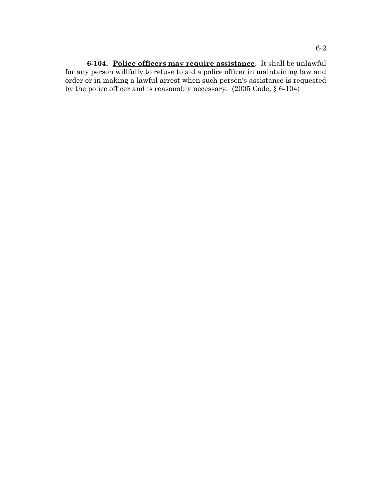**6-104. Police officers may require assistance**. It shall be unlawful for any person willfully to refuse to aid a police officer in maintaining law and order or in making a lawful arrest when such person's assistance is requested by the police officer and is reasonably necessary. (2005 Code, § 6-104)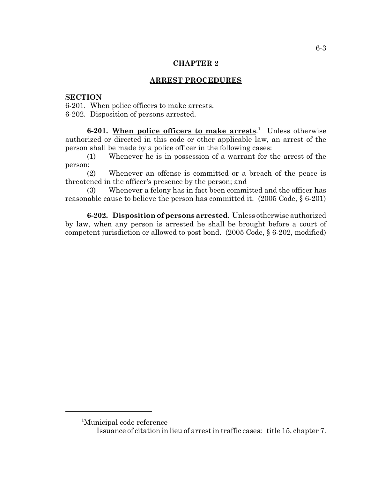# **CHAPTER 2**

# **ARREST PROCEDURES**

## **SECTION**

6-201. When police officers to make arrests. 6-202. Disposition of persons arrested.

6-201. When police officers to make arrests.<sup>1</sup> Unless otherwise authorized or directed in this code or other applicable law, an arrest of the person shall be made by a police officer in the following cases:

(1) Whenever he is in possession of a warrant for the arrest of the person;

(2) Whenever an offense is committed or a breach of the peace is threatened in the officer's presence by the person; and

(3) Whenever a felony has in fact been committed and the officer has reasonable cause to believe the person has committed it. (2005 Code, § 6-201)

**6-202. Disposition of persons arrested**. Unless otherwise authorized by law, when any person is arrested he shall be brought before a court of competent jurisdiction or allowed to post bond. (2005 Code, § 6-202, modified)

<sup>1</sup> Municipal code reference

Issuance of citation in lieu of arrest in traffic cases: title 15, chapter 7.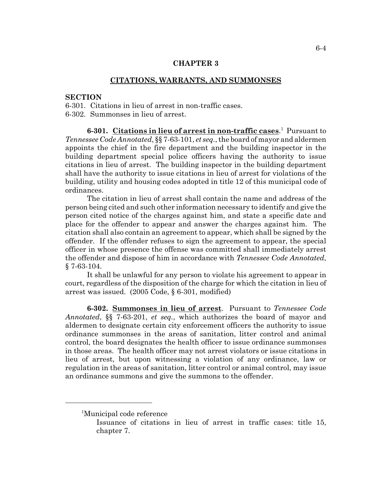## **CHAPTER 3**

### **CITATIONS, WARRANTS, AND SUMMONSES**

#### **SECTION**

6-301. Citations in lieu of arrest in non-traffic cases. 6-302. Summonses in lieu of arrest.

**6-301. Citations in lieu of arrest in non-traffic cases**. 1 Pursuant to *Tennessee Code Annotated*, §§ 7-63-101, *et seq.*, the board of mayor and aldermen appoints the chief in the fire department and the building inspector in the building department special police officers having the authority to issue citations in lieu of arrest. The building inspector in the building department shall have the authority to issue citations in lieu of arrest for violations of the building, utility and housing codes adopted in title 12 of this municipal code of ordinances.

The citation in lieu of arrest shall contain the name and address of the person being cited and such other information necessary to identify and give the person cited notice of the charges against him, and state a specific date and place for the offender to appear and answer the charges against him. The citation shall also contain an agreement to appear, which shall be signed by the offender. If the offender refuses to sign the agreement to appear, the special officer in whose presence the offense was committed shall immediately arrest the offender and dispose of him in accordance with *Tennessee Code Annotated*, § 7-63-104.

It shall be unlawful for any person to violate his agreement to appear in court, regardless of the disposition of the charge for which the citation in lieu of arrest was issued. (2005 Code, § 6-301, modified)

**6-302. Summonses in lieu of arrest**. Pursuant to *Tennessee Code Annotated*, §§ 7-63-201, *et seq.*, which authorizes the board of mayor and aldermen to designate certain city enforcement officers the authority to issue ordinance summonses in the areas of sanitation, litter control and animal control, the board designates the health officer to issue ordinance summonses in those areas. The health officer may not arrest violators or issue citations in lieu of arrest, but upon witnessing a violation of any ordinance, law or regulation in the areas of sanitation, litter control or animal control, may issue an ordinance summons and give the summons to the offender.

<sup>1</sup> Municipal code reference

Issuance of citations in lieu of arrest in traffic cases: title 15, chapter 7.